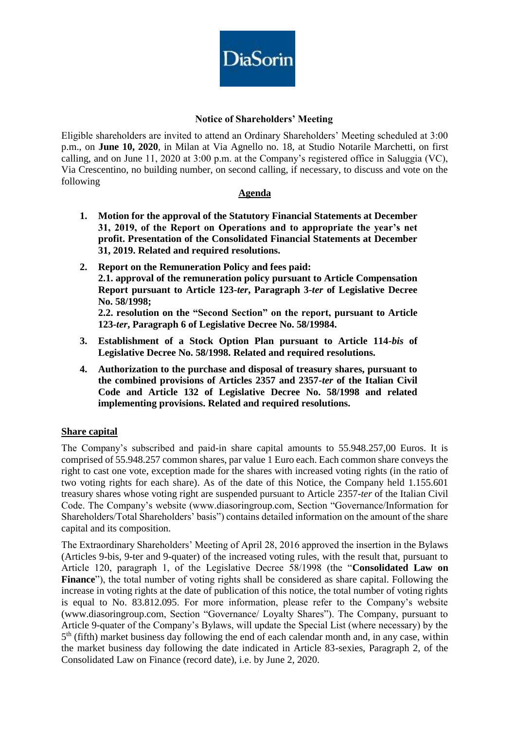

# **Notice of Shareholders' Meeting**

Eligible shareholders are invited to attend an Ordinary Shareholders' Meeting scheduled at 3:00 p.m., on **June 10, 2020**, in Milan at Via Agnello no. 18, at Studio Notarile Marchetti, on first calling, and on June 11, 2020 at 3:00 p.m. at the Company's registered office in Saluggia (VC), Via Crescentino, no building number, on second calling, if necessary, to discuss and vote on the following

### **Agenda**

- **1. Motion for the approval of the Statutory Financial Statements at December 31, 2019, of the Report on Operations and to appropriate the year's net profit. Presentation of the Consolidated Financial Statements at December 31, 2019. Related and required resolutions.**
- **2. Report on the Remuneration Policy and fees paid: 2.1. approval of the remuneration policy pursuant to Article Compensation Report pursuant to Article 123-***ter***, Paragraph 3-***ter* **of Legislative Decree No. 58/1998; 2.2. resolution on the "Second Section" on the report, pursuant to Article**

**123-***ter***, Paragraph 6 of Legislative Decree No. 58/19984.** 

- **3. Establishment of a Stock Option Plan pursuant to Article 114-***bis* **of Legislative Decree No. 58/1998. Related and required resolutions.**
- **4. Authorization to the purchase and disposal of treasury shares, pursuant to the combined provisions of Articles 2357 and 2357-***ter* **of the Italian Civil Code and Article 132 of Legislative Decree No. 58/1998 and related implementing provisions. Related and required resolutions.**

# **Share capital**

The Company's subscribed and paid-in share capital amounts to 55.948.257,00 Euros. It is comprised of 55.948.257 common shares, par value 1 Euro each. Each common share conveys the right to cast one vote, exception made for the shares with increased voting rights (in the ratio of two voting rights for each share). As of the date of this Notice, the Company held 1.155.601 treasury shares whose voting right are suspended pursuant to Article 2357-*ter* of the Italian Civil Code. The Company's website (www.diasoringroup.com, Section "Governance/Information for Shareholders/Total Shareholders' basis") contains detailed information on the amount of the share capital and its composition.

The Extraordinary Shareholders' Meeting of April 28, 2016 approved the insertion in the Bylaws (Articles 9-bis, 9-ter and 9-quater) of the increased voting rules, with the result that, pursuant to Article 120, paragraph 1, of the Legislative Decree 58/1998 (the "**Consolidated Law on Finance**"), the total number of voting rights shall be considered as share capital. Following the increase in voting rights at the date of publication of this notice, the total number of voting rights is equal to No. 83.812.095. For more information, please refer to the Company's website (www.diasoringroup.com, Section "Governance/ Loyalty Shares"). The Company, pursuant to Article 9-quater of the Company's Bylaws, will update the Special List (where necessary) by the 5<sup>th</sup> (fifth) market business day following the end of each calendar month and, in any case, within the market business day following the date indicated in Article 83-sexies, Paragraph 2, of the Consolidated Law on Finance (record date), i.e. by June 2, 2020.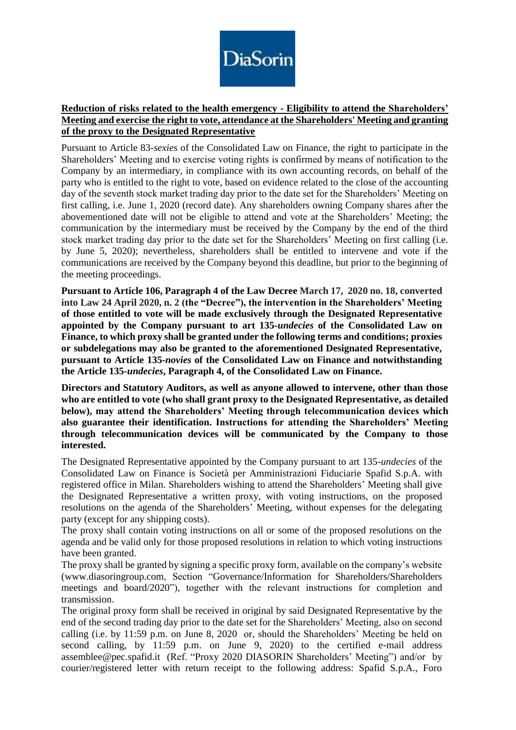

# **Reduction of risks related to the health emergency - Eligibility to attend the Shareholders' Meeting and exercise the right to vote, attendance at the Shareholders' Meeting and granting of the proxy to the Designated Representative**

Pursuant to Article 83-*sexies* of the Consolidated Law on Finance, the right to participate in the Shareholders' Meeting and to exercise voting rights is confirmed by means of notification to the Company by an intermediary, in compliance with its own accounting records, on behalf of the party who is entitled to the right to vote, based on evidence related to the close of the accounting day of the seventh stock market trading day prior to the date set for the Shareholders' Meeting on first calling, i.e. June 1, 2020 (record date). Any shareholders owning Company shares after the abovementioned date will not be eligible to attend and vote at the Shareholders' Meeting; the communication by the intermediary must be received by the Company by the end of the third stock market trading day prior to the date set for the Shareholders' Meeting on first calling (i.e. by June 5, 2020); nevertheless, shareholders shall be entitled to intervene and vote if the communications are received by the Company beyond this deadline, but prior to the beginning of the meeting proceedings.

**Pursuant to Article 106, Paragraph 4 of the Law Decree March 17, 2020 no. 18, converted into Law 24 April 2020, n. 2 (the "Decree"), the intervention in the Shareholders' Meeting of those entitled to vote will be made exclusively through the Designated Representative appointed by the Company pursuant to art 135-***undecies* **of the Consolidated Law on Finance, to which proxy shall be granted under the following terms and conditions; proxies or subdelegations may also be granted to the aforementioned Designated Representative, pursuant to Article 135-***novies* **of the Consolidated Law on Finance and notwithstanding the Article 135-***undecies***, Paragraph 4, of the Consolidated Law on Finance.**

**Directors and Statutory Auditors, as well as anyone allowed to intervene, other than those who are entitled to vote (who shall grant proxy to the Designated Representative, as detailed below), may attend the Shareholders' Meeting through telecommunication devices which also guarantee their identification. Instructions for attending the Shareholders' Meeting through telecommunication devices will be communicated by the Company to those interested.**

The Designated Representative appointed by the Company pursuant to art 135-*undecies* of the Consolidated Law on Finance is Società per Amministrazioni Fiduciarie Spafid S.p.A. with registered office in Milan. Shareholders wishing to attend the Shareholders' Meeting shall give the Designated Representative a written proxy, with voting instructions, on the proposed resolutions on the agenda of the Shareholders' Meeting, without expenses for the delegating party (except for any shipping costs).

The proxy shall contain voting instructions on all or some of the proposed resolutions on the agenda and be valid only for those proposed resolutions in relation to which voting instructions have been granted.

The proxy shall be granted by signing a specific proxy form, available on the company's website [\(www.diasoringroup.com,](http://www.diasorin.com/) Section "Governance/Information for Shareholders/Shareholders meetings and board/2020"), together with the relevant instructions for completion and transmission.

The original proxy form shall be received in original by said Designated Representative by the end of the second trading day prior to the date set for the Shareholders' Meeting, also on second calling (i.e. by 11:59 p.m. on June 8, 2020 or, should the Shareholders' Meeting be held on second calling, by 11:59 p.m. on June 9, 2020) to the certified e-mail address assemblee@pec.spafid.it (Ref. "Proxy 2020 DIASORIN Shareholders' Meeting") and/or by courier/registered letter with return receipt to the following address: Spafid S.p.A., Foro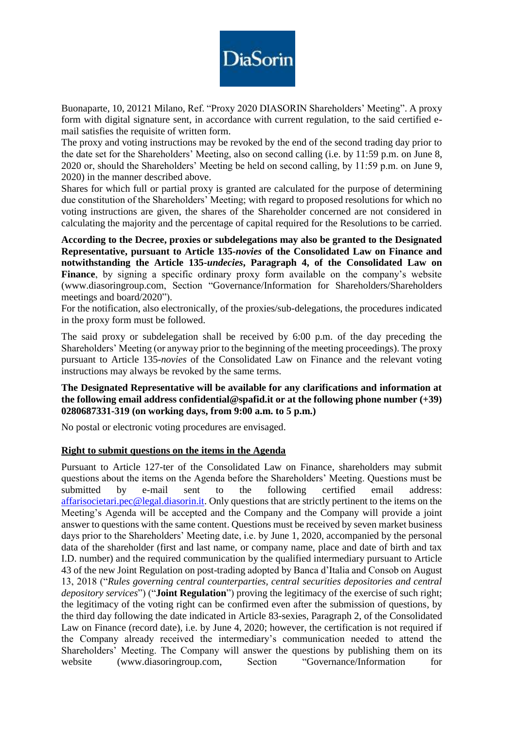

Buonaparte, 10, 20121 Milano, Ref. "Proxy 2020 DIASORIN Shareholders' Meeting". A proxy form with digital signature sent, in accordance with current regulation, to the said certified email satisfies the requisite of written form.

The proxy and voting instructions may be revoked by the end of the second trading day prior to the date set for the Shareholders' Meeting, also on second calling (i.e. by 11:59 p.m. on June 8, 2020 or, should the Shareholders' Meeting be held on second calling, by 11:59 p.m. on June 9, 2020) in the manner described above.

Shares for which full or partial proxy is granted are calculated for the purpose of determining due constitution of the Shareholders' Meeting; with regard to proposed resolutions for which no voting instructions are given, the shares of the Shareholder concerned are not considered in calculating the majority and the percentage of capital required for the Resolutions to be carried.

**According to the Decree, proxies or subdelegations may also be granted to the Designated Representative, pursuant to Article 135-***novies* **of the Consolidated Law on Finance and notwithstanding the Article 135-***undecies***, Paragraph 4, of the Consolidated Law on**  Finance, by signing a specific ordinary proxy form available on the company's website [\(www.diasoringroup.com,](http://www.diasorin.com/) Section "Governance/Information for Shareholders/Shareholders meetings and board/2020").

For the notification, also electronically, of the proxies/sub-delegations, the procedures indicated in the proxy form must be followed.

The said proxy or subdelegation shall be received by 6:00 p.m. of the day preceding the Shareholders' Meeting (or anyway prior to the beginning of the meeting proceedings). The proxy pursuant to Article 135-*novies* of the Consolidated Law on Finance and the relevant voting instructions may always be revoked by the same terms.

#### **The Designated Representative will be available for any clarifications and information at the following email address confidential@spafid.it or at the following phone number (+39) 0280687331-319 (on working days, from 9:00 a.m. to 5 p.m.)**

No postal or electronic voting procedures are envisaged.

#### **Right to submit questions on the items in the Agenda**

Pursuant to Article 127-ter of the Consolidated Law on Finance, shareholders may submit questions about the items on the Agenda before the Shareholders' Meeting. Questions must be submitted by e-mail sent to the following certified email address: [affarisocietari.pec@legal.diasorin.it.](mailto:affarisocietari@diasorin.it) Only questions that are strictly pertinent to the items on the Meeting's Agenda will be accepted and the Company and the Company will provide a joint answer to questions with the same content. Questions must be received by seven market business days prior to the Shareholders' Meeting date, i.e. by June 1, 2020, accompanied by the personal data of the shareholder (first and last name, or company name, place and date of birth and tax I.D. number) and the required communication by the qualified intermediary pursuant to Article 43 of the new Joint Regulation on post-trading adopted by Banca d'Italia and Consob on August 13, 2018 ("*Rules governing central counterparties, central securities depositories and central depository services*") ("**Joint Regulation**") proving the legitimacy of the exercise of such right; the legitimacy of the voting right can be confirmed even after the submission of questions, by the third day following the date indicated in Article 83-sexies, Paragraph 2, of the Consolidated Law on Finance (record date), i.e. by June 4, 2020; however, the certification is not required if the Company already received the intermediary's communication needed to attend the Shareholders' Meeting. The Company will answer the questions by publishing them on its website [\(www.diasoringroup.com,](http://www.diasorin.com/) Section "Governance/Information for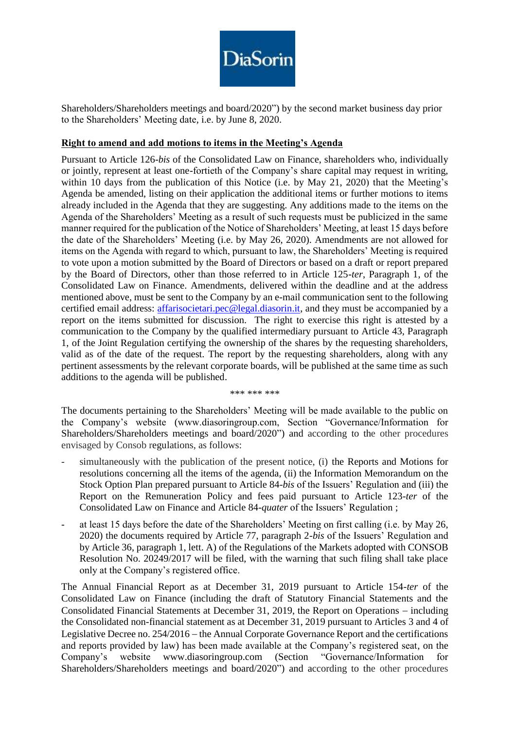

Shareholders/Shareholders meetings and board/2020") by the second market business day prior to the Shareholders' Meeting date, i.e. by June 8, 2020.

### **Right to amend and add motions to items in the Meeting's Agenda**

Pursuant to Article 126-*bis* of the Consolidated Law on Finance, shareholders who, individually or jointly, represent at least one-fortieth of the Company's share capital may request in writing, within 10 days from the publication of this Notice (i.e. by May 21, 2020) that the Meeting's Agenda be amended, listing on their application the additional items or further motions to items already included in the Agenda that they are suggesting. Any additions made to the items on the Agenda of the Shareholders' Meeting as a result of such requests must be publicized in the same manner required for the publication of the Notice of Shareholders' Meeting, at least 15 days before the date of the Shareholders' Meeting (i.e. by May 26, 2020). Amendments are not allowed for items on the Agenda with regard to which, pursuant to law, the Shareholders' Meeting is required to vote upon a motion submitted by the Board of Directors or based on a draft or report prepared by the Board of Directors, other than those referred to in Article 125-*ter*, Paragraph 1, of the Consolidated Law on Finance. Amendments, delivered within the deadline and at the address mentioned above, must be sent to the Company by an e-mail communication sent to the following certified email address: [affarisocietari.pec@legal.diasorin.it,](mailto:affarisocietari@diasorin.it) and they must be accompanied by a report on the items submitted for discussion. The right to exercise this right is attested by a communication to the Company by the qualified intermediary pursuant to Article 43, Paragraph 1, of the Joint Regulation certifying the ownership of the shares by the requesting shareholders, valid as of the date of the request. The report by the requesting shareholders, along with any pertinent assessments by the relevant corporate boards, will be published at the same time as such additions to the agenda will be published.

\*\*\* \*\*\* \*\*\*

The documents pertaining to the Shareholders' Meeting will be made available to the public on the Company's website (www.diasoringroup.com, Section "Governance/Information for Shareholders/Shareholders meetings and board/2020") and according to the other procedures envisaged by Consob regulations, as follows:

- simultaneously with the publication of the present notice, (i) the Reports and Motions for resolutions concerning all the items of the agenda, (ii) the Information Memorandum on the Stock Option Plan prepared pursuant to Article 84-*bis* of the Issuers' Regulation and (iii) the Report on the Remuneration Policy and fees paid pursuant to Article 123-*ter* of the Consolidated Law on Finance and Article 84-*quater* of the Issuers' Regulation ;
- at least 15 days before the date of the Shareholders' Meeting on first calling (i.e. by May 26, 2020) the documents required by Article 77, paragraph 2-*bis* of the Issuers' Regulation and by Article 36, paragraph 1, lett. A) of the Regulations of the Markets adopted with CONSOB Resolution No. 20249/2017 will be filed, with the warning that such filing shall take place only at the Company's registered office.

The Annual Financial Report as at December 31, 2019 pursuant to Article 154-*ter* of the Consolidated Law on Finance (including the draft of Statutory Financial Statements and the Consolidated Financial Statements at December 31, 2019, the Report on Operations  $-$  including the Consolidated non-financial statement as at December 31, 2019 pursuant to Articles 3 and 4 of Legislative Decree no.  $254/2016$  – the Annual Corporate Governance Report and the certifications and reports provided by law) has been made available at the Company's registered seat, on the Company's website www.diasoringroup.com (Section "Governance/Information for Shareholders/Shareholders meetings and board/2020") and according to the other procedures